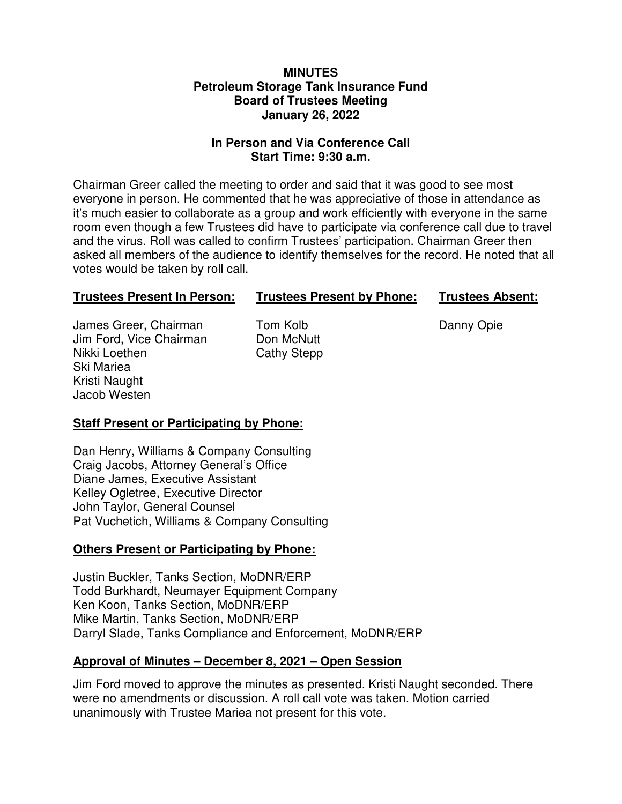#### **MINUTES Petroleum Storage Tank Insurance Fund Board of Trustees Meeting January 26, 2022**

### **In Person and Via Conference Call Start Time: 9:30 a.m.**

Chairman Greer called the meeting to order and said that it was good to see most everyone in person. He commented that he was appreciative of those in attendance as it's much easier to collaborate as a group and work efficiently with everyone in the same room even though a few Trustees did have to participate via conference call due to travel and the virus. Roll was called to confirm Trustees' participation. Chairman Greer then asked all members of the audience to identify themselves for the record. He noted that all votes would be taken by roll call.

# **Trustees Present In Person: Trustees Present by Phone: Trustees Absent:**

James Greer, Chairman Tom Kolb **Danny Opie** Jim Ford, Vice Chairman Don McNutt Nikki Loethen Cathy Stepp Ski Mariea Kristi Naught Jacob Westen

# **Staff Present or Participating by Phone:**

Dan Henry, Williams & Company Consulting Craig Jacobs, Attorney General's Office Diane James, Executive Assistant Kelley Ogletree, Executive Director John Taylor, General Counsel Pat Vuchetich, Williams & Company Consulting

# **Others Present or Participating by Phone:**

Justin Buckler, Tanks Section, MoDNR/ERP Todd Burkhardt, Neumayer Equipment Company Ken Koon, Tanks Section, MoDNR/ERP Mike Martin, Tanks Section, MoDNR/ERP Darryl Slade, Tanks Compliance and Enforcement, MoDNR/ERP

# **Approval of Minutes – December 8, 2021 – Open Session**

Jim Ford moved to approve the minutes as presented. Kristi Naught seconded. There were no amendments or discussion. A roll call vote was taken. Motion carried unanimously with Trustee Mariea not present for this vote.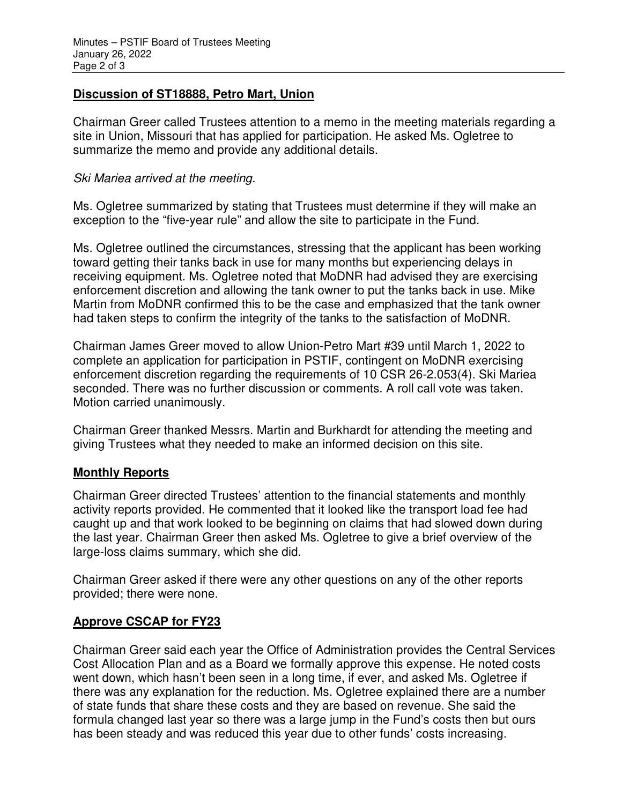### **Discussion of ST18888, Petro Mart, Union**

Chairman Greer called Trustees attention to a memo in the meeting materials regarding a site in Union, Missouri that has applied for participation. He asked Ms. Ogletree to summarize the memo and provide any additional details.

#### Ski Mariea arrived at the meeting.

Ms. Ogletree summarized by stating that Trustees must determine if they will make an exception to the "five-year rule" and allow the site to participate in the Fund.

Ms. Ogletree outlined the circumstances, stressing that the applicant has been working toward getting their tanks back in use for many months but experiencing delays in receiving equipment. Ms. Ogletree noted that MoDNR had advised they are exercising enforcement discretion and allowing the tank owner to put the tanks back in use. Mike Martin from MoDNR confirmed this to be the case and emphasized that the tank owner had taken steps to confirm the integrity of the tanks to the satisfaction of MoDNR.

Chairman James Greer moved to allow Union-Petro Mart #39 until March 1, 2022 to complete an application for participation in PSTIF, contingent on MoDNR exercising enforcement discretion regarding the requirements of 10 CSR 26-2.053(4). Ski Mariea seconded. There was no further discussion or comments. A roll call vote was taken. Motion carried unanimously.

Chairman Greer thanked Messrs. Martin and Burkhardt for attending the meeting and giving Trustees what they needed to make an informed decision on this site.

#### **Monthly Reports**

Chairman Greer directed Trustees' attention to the financial statements and monthly activity reports provided. He commented that it looked like the transport load fee had caught up and that work looked to be beginning on claims that had slowed down during the last year. Chairman Greer then asked Ms. Ogletree to give a brief overview of the large-loss claims summary, which she did.

Chairman Greer asked if there were any other questions on any of the other reports provided; there were none.

#### **Approve CSCAP for FY23**

Chairman Greer said each year the Office of Administration provides the Central Services Cost Allocation Plan and as a Board we formally approve this expense. He noted costs went down, which hasn't been seen in a long time, if ever, and asked Ms. Ogletree if there was any explanation for the reduction. Ms. Ogletree explained there are a number of state funds that share these costs and they are based on revenue. She said the formula changed last year so there was a large jump in the Fund's costs then but ours has been steady and was reduced this year due to other funds' costs increasing.